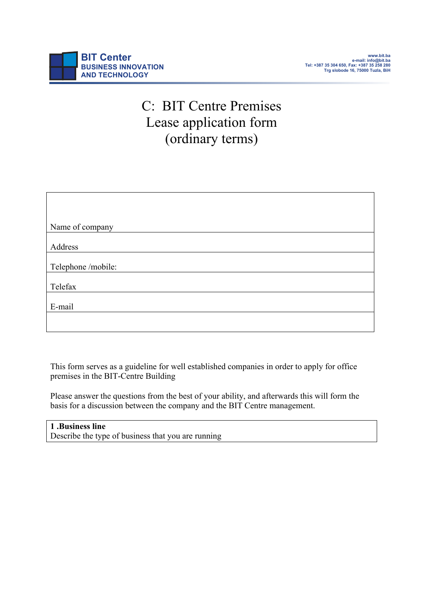# C: BIT Centre Premises Lease application form (ordinary terms)

| Name of company    |
|--------------------|
|                    |
| Address            |
|                    |
| Telephone /mobile: |
|                    |
| Telefax            |
|                    |
| E-mail             |
|                    |
|                    |

This form serves as a guideline for well established companies in order to apply for office premises in the BIT-Centre Building

Please answer the questions from the best of your ability, and afterwards this will form the basis for a discussion between the company and the BIT Centre management.

# **1 .Business line**

Describe the type of business that you are running